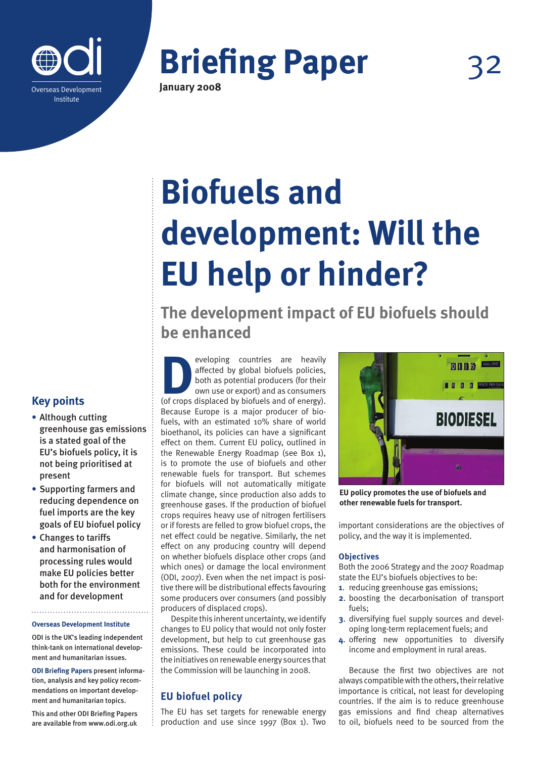

**Briefing Paper January 2008**

**Biofuels and development: Will the EU help or hinder?**

**The development impact of EU biofuels should be enhanced**

eveloping countries are heavily affected by global biofuels policies, both as potential producers (for their own use or export) and as consumers (of crops displaced by biofuels and of energy). affected by global biofuels policies, both as potential producers (for their own use or export) and as consumers Because Europe is a major producer of biofuels, with an estimated 10% share of world bioethanol, its policies can have a significant effect on them. Current EU policy, outlined in the Renewable Energy Roadmap (see Box 1), is to promote the use of biofuels and other renewable fuels for transport. But schemes for biofuels will not automatically mitigate climate change, since production also adds to greenhouse gases. If the production of biofuel crops requires heavy use of nitrogen fertilisers or if forests are felled to grow biofuel crops, the net effect could be negative. Similarly, the net effect on any producing country will depend on whether biofuels displace other crops (and which ones) or damage the local environment (ODI, 2007). Even when the net impact is positive there will be distributional effects favouring some producers over consumers (and possibly producers of displaced crops).

Despite this inherent uncertainty, we identify changes to EU policy that would not only foster development, but help to cut greenhouse gas emissions. These could be incorporated into the initiatives on renewable energy sources that the Commission will be launching in 2008.

## **EU biofuel policy**

The EU has set targets for renewable energy production and use since 1997 (Box 1). Two



**EU policy promotes the use of biofuels and other renewable fuels for transport.**

important considerations are the objectives of policy, and the way it is implemented.

### **Objectives**

Both the 2006 Strategy and the 2007 Roadmap state the EU's biofuels objectives to be:

- **1**. reducing greenhouse gas emissions;
- **2**. boosting the decarbonisation of transport fuels;
- **3**. diversifying fuel supply sources and developing long-term replacement fuels; and
- **4**. offering new opportunities to diversify income and employment in rural areas.

Because the first two objectives are not always compatible with the others, their relative importance is critical, not least for developing countries. If the aim is to reduce greenhouse gas emissions and find cheap alternatives to oil, biofuels need to be sourced from the

# **Key points**

- **•** Although cutting greenhouse gas emissions is a stated goal of the EU's biofuels policy, it is not being prioritised at present
- **•** Supporting farmers and reducing dependence on fuel imports are the key goals of EU biofuel policy
- **•** Changes to tariffs and harmonisation of processing rules would make EU policies better both for the environment and for development

**Overseas Development Institute**

ODI is the UK's leading independent think-tank on international development and humanitarian issues.

**ODI Briefing Papers** present information, analysis and key policy recommendations on important development and humanitarian topics.

This and other ODI Briefing Papers are available from www.odi.org.uk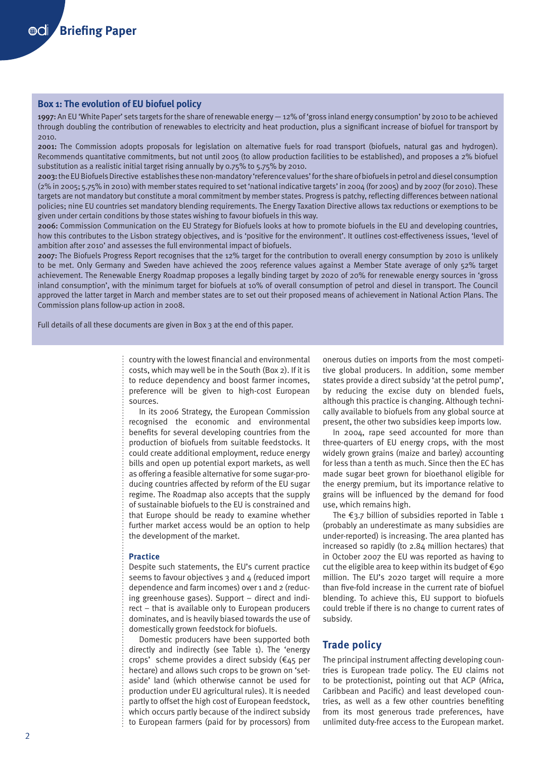### **Box 1: The evolution of EU biofuel policy**

1997: An EU 'White Paper' sets targets for the share of renewable energy — 12% of 'gross inland energy consumption' by 2010 to be achieved through doubling the contribution of renewables to electricity and heat production, plus a significant increase of biofuel for transport by 2010.

2001: The Commission adopts proposals for legislation on alternative fuels for road transport (biofuels, natural gas and hydrogen). Recommends quantitative commitments, but not until 2005 (to allow production facilities to be established), and proposes a 2% biofuel substitution as a realistic initial target rising annually by 0.75% to 5.75% by 2010.

2003: the EU Biofuels Directive establishes these non-mandatory 'reference values' for the share of biofuels in petrol and diesel consumption (2% in 2005; 5.75% in 2010) with member states required to set 'national indicative targets' in 2004 (for 2005) and by 2007 (for 2010). These targets are not mandatory but constitute a moral commitment by member states. Progress is patchy, reflecting differences between national policies; nine EU countries set mandatory blending requirements. The Energy Taxation Directive allows tax reductions or exemptions to be given under certain conditions by those states wishing to favour biofuels in this way.

2006: Commission Communication on the EU Strategy for Biofuels looks at how to promote biofuels in the EU and developing countries, how this contributes to the Lisbon strategy objectives, and is 'positive for the environment'. It outlines cost-effectiveness issues, 'level of ambition after 2010' and assesses the full environmental impact of biofuels.

2007: The Biofuels Progress Report recognises that the 12% target for the contribution to overall energy consumption by 2010 is unlikely to be met. Only Germany and Sweden have achieved the 2005 reference values against a Member State average of only 52% target achievement. The Renewable Energy Roadmap proposes a legally binding target by 2020 of 20% for renewable energy sources in 'gross inland consumption', with the minimum target for biofuels at 10% of overall consumption of petrol and diesel in transport. The Council approved the latter target in March and member states are to set out their proposed means of achievement in National Action Plans. The Commission plans follow-up action in 2008.

Full details of all these documents are given in Box 3 at the end of this paper.

country with the lowest financial and environmental costs, which may well be in the South (Box 2). If it is to reduce dependency and boost farmer incomes, preference will be given to high-cost European sources.

In its 2006 Strategy, the European Commission recognised the economic and environmental benefits for several developing countries from the production of biofuels from suitable feedstocks. It could create additional employment, reduce energy bills and open up potential export markets, as well as offering a feasible alternative for some sugar-producing countries affected by reform of the EU sugar regime. The Roadmap also accepts that the supply of sustainable biofuels to the EU is constrained and that Europe should be ready to examine whether further market access would be an option to help the development of the market.

#### **Practice**

Despite such statements, the EU's current practice seems to favour objectives 3 and 4 (reduced import dependence and farm incomes) over 1 and 2 (reducing greenhouse gases). Support – direct and indirect – that is available only to European producers dominates, and is heavily biased towards the use of domestically grown feedstock for biofuels.

Domestic producers have been supported both directly and indirectly (see Table 1). The 'energy crops' scheme provides a direct subsidy (€45 per hectare) and allows such crops to be grown on 'setaside' land (which otherwise cannot be used for production under EU agricultural rules). It is needed partly to offset the high cost of European feedstock, which occurs partly because of the indirect subsidy to European farmers (paid for by processors) from

onerous duties on imports from the most competitive global producers. In addition, some member states provide a direct subsidy 'at the petrol pump', by reducing the excise duty on blended fuels, although this practice is changing. Although technically available to biofuels from any global source at present, the other two subsidies keep imports low.

In 2004, rape seed accounted for more than three-quarters of EU energy crops, with the most widely grown grains (maize and barley) accounting for less than a tenth as much. Since then the EC has made sugar beet grown for bioethanol eligible for the energy premium, but its importance relative to grains will be influenced by the demand for food use, which remains high.

The €3.7 billion of subsidies reported in Table 1 (probably an underestimate as many subsidies are under-reported) is increasing. The area planted has increased so rapidly (to 2.84 million hectares) that in October 2007 the EU was reported as having to cut the eligible area to keep within its budget of €90 million. The EU's 2020 target will require a more than five-fold increase in the current rate of biofuel blending. To achieve this, EU support to biofuels could treble if there is no change to current rates of subsidy.

### **Trade policy**

The principal instrument affecting developing countries is European trade policy. The EU claims not to be protectionist, pointing out that ACP (Africa, Caribbean and Pacific) and least developed countries, as well as a few other countries benefiting from its most generous trade preferences, have unlimited duty-free access to the European market.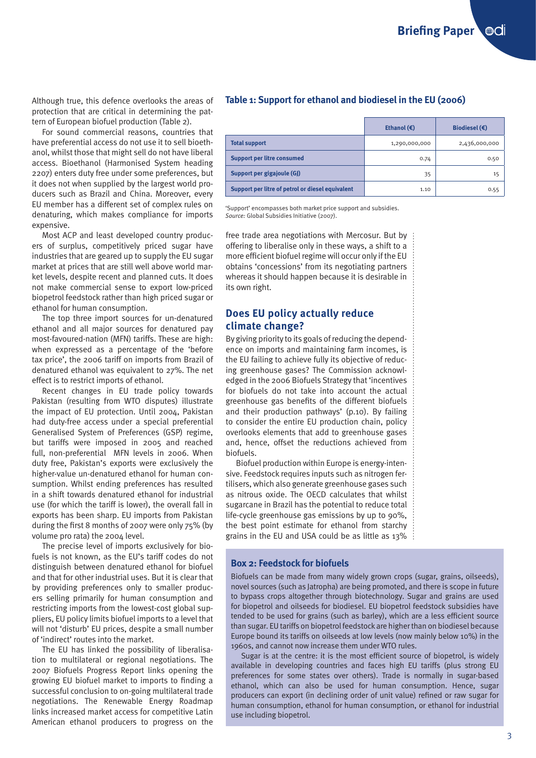Although true, this defence overlooks the areas of protection that are critical in determining the pattern of European biofuel production (Table 2).

For sound commercial reasons, countries that have preferential access do not use it to sell bioethanol, whilst those that might sell do not have liberal access. Bioethanol (Harmonised System heading 2207) enters duty free under some preferences, but it does not when supplied by the largest world producers such as Brazil and China. Moreover, every EU member has a different set of complex rules on denaturing, which makes compliance for imports expensive.

Most ACP and least developed country producers of surplus, competitively priced sugar have industries that are geared up to supply the EU sugar market at prices that are still well above world market levels, despite recent and planned cuts. It does not make commercial sense to export low-priced biopetrol feedstock rather than high priced sugar or ethanol for human consumption.

The top three import sources for un-denatured ethanol and all major sources for denatured pay most-favoured-nation (MFN) tariffs. These are high: when expressed as a percentage of the 'before tax price', the 2006 tariff on imports from Brazil of denatured ethanol was equivalent to 27%. The net effect is to restrict imports of ethanol.

Recent changes in EU trade policy towards Pakistan (resulting from WTO disputes) illustrate the impact of EU protection. Until 2004, Pakistan had duty-free access under a special preferential Generalised System of Preferences (GSP) regime, but tariffs were imposed in 2005 and reached full, non-preferential MFN levels in 2006. When duty free, Pakistan's exports were exclusively the higher-value un-denatured ethanol for human consumption. Whilst ending preferences has resulted in a shift towards denatured ethanol for industrial use (for which the tariff is lower), the overall fall in exports has been sharp. EU imports from Pakistan during the first 8 months of 2007 were only 75% (by volume pro rata) the 2004 level.

The precise level of imports exclusively for biofuels is not known, as the EU's tariff codes do not distinguish between denatured ethanol for biofuel and that for other industrial uses. But it is clear that by providing preferences only to smaller producers selling primarily for human consumption and restricting imports from the lowest-cost global suppliers, EU policy limits biofuel imports to a level that will not 'disturb' EU prices, despite a small number of 'indirect' routes into the market.

The EU has linked the possibility of liberalisation to multilateral or regional negotiations. The 2007 Biofuels Progress Report links opening the growing EU biofuel market to imports to finding a successful conclusion to on-going multilateral trade negotiations. The Renewable Energy Roadmap links increased market access for competitive Latin American ethanol producers to progress on the

### **Table 1: Support for ethanol and biodiesel in the EU (2006)**

|                                                  | Ethanol $(\epsilon)$ | Biodiesel $(\epsilon)$ |
|--------------------------------------------------|----------------------|------------------------|
| <b>Total support</b>                             | 1,290,000,000        | 2,436,000,000          |
| <b>Support per litre consumed</b>                | 0.74                 | 0.50                   |
| Support per gigajoule (GJ)                       | 35                   | 15                     |
| Support per litre of petrol or diesel equivalent | 1.10                 | 0.55                   |

'Support' encompasses both market price support and subsidies. *Source:* Global Subsidies Initiative (2007).

free trade area negotiations with Mercosur. But by offering to liberalise only in these ways, a shift to a more efficient biofuel regime will occur only if the EU obtains 'concessions' from its negotiating partners whereas it should happen because it is desirable in its own right.

## **Does EU policy actually reduce climate change?**

By giving priority to its goals of reducing the dependence on imports and maintaining farm incomes, is the EU failing to achieve fully its objective of reducing greenhouse gases? The Commission acknowledged in the 2006 Biofuels Strategy that 'incentives for biofuels do not take into account the actual greenhouse gas benefits of the different biofuels and their production pathways' (p.10). By failing to consider the entire EU production chain, policy overlooks elements that add to greenhouse gases and, hence, offset the reductions achieved from biofuels.

Biofuel production within Europe is energy-intensive. Feedstock requires inputs such as nitrogen fertilisers, which also generate greenhouse gases such as nitrous oxide. The OECD calculates that whilst sugarcane in Brazil has the potential to reduce total life-cycle greenhouse gas emissions by up to 90%, the best point estimate for ethanol from starchy grains in the EU and USA could be as little as 13%

### **Box 2: Feedstock for biofuels**

Biofuels can be made from many widely grown crops (sugar, grains, oilseeds), novel sources (such as Jatropha) are being promoted, and there is scope in future to bypass crops altogether through biotechnology. Sugar and grains are used for biopetrol and oilseeds for biodiesel. EU biopetrol feedstock subsidies have tended to be used for grains (such as barley), which are a less efficient source than sugar. EU tariffs on biopetrol feedstock are higher than on biodiesel because Europe bound its tariffs on oilseeds at low levels (now mainly below 10%) in the 1960s, and cannot now increase them under WTO rules.

Sugar is at the centre: it is the most efficient source of biopetrol, is widely available in developing countries and faces high EU tariffs (plus strong EU preferences for some states over others). Trade is normally in sugar-based ethanol, which can also be used for human consumption. Hence, sugar producers can export (in declining order of unit value) refined or raw sugar for human consumption, ethanol for human consumption, or ethanol for industrial use including biopetrol.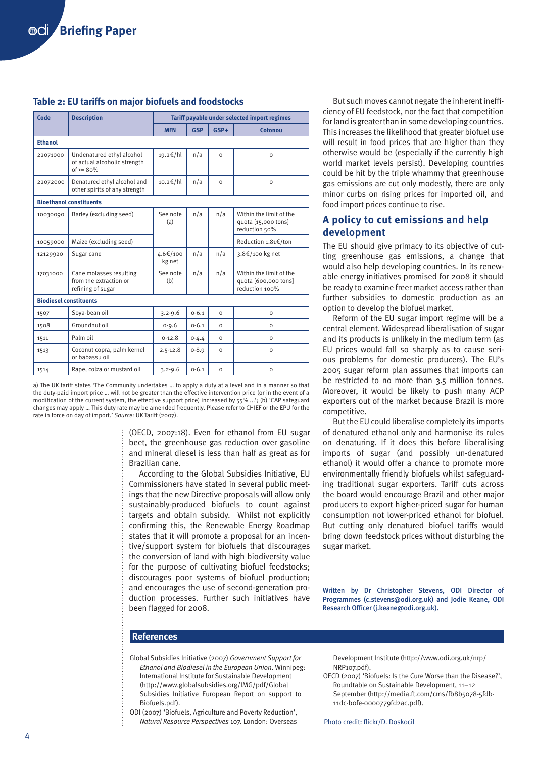### **Table 2: EU tariffs on major biofuels and foodstocks**

| Code                           | <b>Description</b>                                                       | Tariff payable under selected import regimes |            |          |                                                                   |  |
|--------------------------------|--------------------------------------------------------------------------|----------------------------------------------|------------|----------|-------------------------------------------------------------------|--|
|                                |                                                                          | <b>MFN</b>                                   | <b>GSP</b> | $GSP+$   | Cotonou                                                           |  |
| <b>Ethanol</b>                 |                                                                          |                                              |            |          |                                                                   |  |
| 22071000                       | Undenatured ethyl alcohol<br>of actual alcoholic strength<br>$of = 80\%$ | 19.2€/hl                                     | n/a        | $\Omega$ | $\Omega$                                                          |  |
| 22072000                       | Denatured ethyl alcohol and<br>other spirits of any strength             | 10.2€/hl                                     | n/a        | $\Omega$ | $\circ$                                                           |  |
| <b>Bioethanol constituents</b> |                                                                          |                                              |            |          |                                                                   |  |
| 10030090                       | Barley (excluding seed)                                                  | See note<br>(a)                              | n/a        | n/a      | Within the limit of the<br>quota [15,000 tons]<br>reduction 50%   |  |
| 10059000                       | Maize (excluding seed)                                                   |                                              |            |          | Reduction 1.81€/ton                                               |  |
| 12129920                       | Sugar cane                                                               | 4.6€/100<br>kg net                           | n/a        | n/a      | 3.8€/100 kg net                                                   |  |
| 17031000                       | Cane molasses resulting<br>from the extraction or<br>refining of sugar   | See note<br>(b)                              | n/a        | n/a      | Within the limit of the<br>quota [600,000 tons]<br>reduction 100% |  |
| <b>Biodiesel constituents</b>  |                                                                          |                                              |            |          |                                                                   |  |
| 1507                           | Soya-bean oil                                                            | $3.2 - 9.6$                                  | $0 - 6.1$  | $\Omega$ | $\Omega$                                                          |  |
| 1508                           | Groundnut oil                                                            | $0 - 9.6$                                    | $0 - 6.1$  | $\Omega$ | $\Omega$                                                          |  |
| 1511                           | Palm oil                                                                 | $0-12.8$                                     | $0 - 4.4$  | $\Omega$ | $\circ$                                                           |  |
| 1513                           | Coconut copra, palm kernel<br>or babassu oil                             | $2.5 - 12.8$                                 | $0 - 8.9$  | $\Omega$ | $\Omega$                                                          |  |
| 1514                           | Rape, colza or mustard oil                                               | $3.2 - 9.6$                                  | $0 - 6.1$  | $\Omega$ | O                                                                 |  |

a) The UK tariff states 'The Community undertakes … to apply a duty at a level and in a manner so that the duty-paid import price … will not be greater than the effective intervention price (or in the event of a modification of the current system, the effective support price) increased by 55% ...'; (b) 'CAP safeguard changes may apply … This duty rate may be amended frequently. Please refer to CHIEF or the EPU for the rate in force on day of import.' *Source:* UK Tariff (2007).

> (OECD, 2007:18). Even for ethanol from EU sugar beet, the greenhouse gas reduction over gasoline and mineral diesel is less than half as great as for Brazilian cane.

> According to the Global Subsidies Initiative, EU Commissioners have stated in several public meetings that the new Directive proposals will allow only sustainably-produced biofuels to count against targets and obtain subsidy. Whilst not explicitly confirming this, the Renewable Energy Roadmap states that it will promote a proposal for an incentive/support system for biofuels that discourages the conversion of land with high biodiversity value for the purpose of cultivating biofuel feedstocks; discourages poor systems of biofuel production; and encourages the use of second-generation production processes. Further such initiatives have been flagged for 2008.

But such moves cannot negate the inherent inefficiency of EU feedstock, nor the fact that competition for land is greater than in some developing countries. This increases the likelihood that greater biofuel use will result in food prices that are higher than they otherwise would be (especially if the currently high world market levels persist). Developing countries could be hit by the triple whammy that greenhouse gas emissions are cut only modestly, there are only minor curbs on rising prices for imported oil, and food import prices continue to rise.

### **A policy to cut emissions and help development**

The EU should give primacy to its objective of cutting greenhouse gas emissions, a change that would also help developing countries. In its renewable energy initiatives promised for 2008 it should be ready to examine freer market access rather than further subsidies to domestic production as an option to develop the biofuel market.

Reform of the EU sugar import regime will be a central element. Widespread liberalisation of sugar and its products is unlikely in the medium term (as EU prices would fall so sharply as to cause serious problems for domestic producers). The EU's 2005 sugar reform plan assumes that imports can be restricted to no more than 3.5 million tonnes. Moreover, it would be likely to push many ACP exporters out of the market because Brazil is more competitive.

But the EU could liberalise completely its imports of denatured ethanol only and harmonise its rules on denaturing. If it does this before liberalising imports of sugar (and possibly un-denatured ethanol) it would offer a chance to promote more environmentally friendly biofuels whilst safeguarding traditional sugar exporters. Tariff cuts across the board would encourage Brazil and other major producers to export higher-priced sugar for human consumption not lower-priced ethanol for biofuel. But cutting only denatured biofuel tariffs would bring down feedstock prices without disturbing the sugar market.

Written by Dr Christopher Stevens, ODI Director of Programmes (c.stevens@odi.org.uk) and Jodie Keane, ODI Research Officer (j.keane@odi.org.uk).

### **References**

Global Subsidies Initiative (2007) *Government Support for Ethanol and Biodiesel in the European Union*. Winnipeg: International Institute for Sustainable Development ([http://www.globalsubsidies.org/IMG/pdf/Global\\_](http://www.globalsubsidies.org/IMG/pdf/Global_Subsidies_Initiative_European_Report_on_support_to_Biofuels.pdf) [Subsidies\\_Initiative\\_European\\_Report\\_on\\_support\\_to\\_](http://www.globalsubsidies.org/IMG/pdf/Global_Subsidies_Initiative_European_Report_on_support_to_Biofuels.pdf) [Biofuels.pdf\)](http://www.globalsubsidies.org/IMG/pdf/Global_Subsidies_Initiative_European_Report_on_support_to_Biofuels.pdf).

ODI (2007) 'Biofuels, Agriculture and Poverty Reduction', *Natural Resource Perspectives* 107. London: Overseas Development Institute ([http://www.odi.org.uk/nrp/](http://www.odi.org.uk/nrp/NRP107.pdf) [NRP107.pdf\)](http://www.odi.org.uk/nrp/NRP107.pdf).

OECD (2007) 'Biofuels: Is the Cure Worse than the Disease?', Roundtable on Sustainable Development, 11–12 September ([http://media.ft.com/cms/fb8b5078-5fdb-](http://media.ft.com/cms/fb8b5078-5fdb-11dc-b0fe-0000779fd2ac.pdf)[11dc-b0fe-0000779fd2ac.pdf\)](http://media.ft.com/cms/fb8b5078-5fdb-11dc-b0fe-0000779fd2ac.pdf).

Photo credit: flickr/D. Doskocil